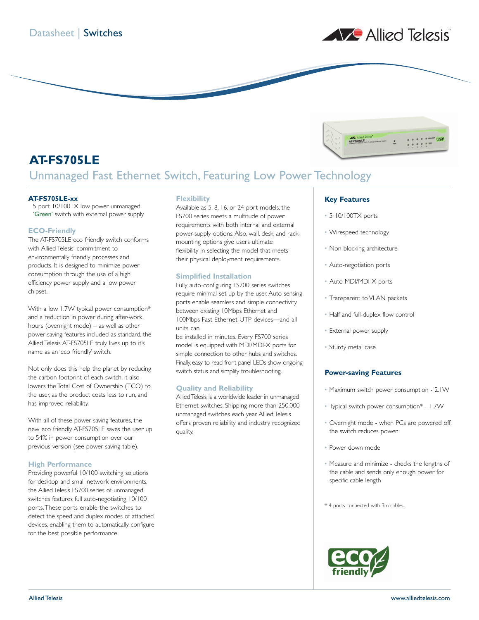

 $\frac{1}{2}$  ,  $\frac{1}{2}$  ,  $\frac{1}{2}$  ,  $\frac{1}{2}$  ,  $\frac{1}{2}$  ,  $\frac{1}{2}$  ,  $\frac{1}{2}$ 

# **AT-FS705LE** Unmanaged Fast Ethernet Switch, Featuring Low Power Technology

## **AT-FS705LE-xx**

5 port 10/100TX low power unmanaged 'Green' switch with external power supply

## **ECO-Friendly**

The AT-FS705LE eco friendly switch conforms with Allied Telesis' commitment to environmentally friendly processes and products. It is designed to minimize power consumption through the use of a high efficiency power supply and a low power chipset.

With a low 1.7W typical power consumption\* and a reduction in power during after-work hours (overnight mode) – as well as other power saving features included as standard, the Allied Telesis AT-FS705LE truly lives up to it's name as an 'eco friendly' switch.

Not only does this help the planet by reducing the carbon footprint of each switch, it also lowers the Total Cost of Ownership (TCO) to the user, as the product costs less to run, and has improved reliability.

With all of these power saving features, the new eco friendly AT-FS705LE saves the user up to 54% in power consumption over our previous version (see power saving table).

## **High Performance**

Providing powerful 10/100 switching solutions for desktop and small network environments, the Allied Telesis FS700 series of unmanaged switches features full auto-negotiating 10/100 ports.These ports enable the switches to detect the speed and duplex modes of attached devices, enabling them to automatically configure for the best possible performance.

## **Flexibility**

Available as 5, 8, 16, or 24 port models, the FS700 series meets a multitude of power requirements with both internal and external power-supply options.Also, wall, desk, and rackmounting options give users ultimate flexibility in selecting the model that meets their physical deployment requirements.

## **Simplified Installation**

Fully auto-configuring FS700 series switches require minimal set-up by the user.Auto-sensing ports enable seamless and simple connectivity between existing 10Mbps Ethernet and 100Mbps Fast Ethernet UTP devices—and all units can

be installed in minutes. Every FS700 series model is equipped with MDI/MDI-X ports for simple connection to other hubs and switches. Finally, easy to read front panel LEDs show ongoing switch status and simplify troubleshooting.

## **Quality and Reliability**

AlliedTelesis is a worldwide leader in unmanaged Ethernet switches. Shipping more than 250,000 unmanaged switches each year, Allied Telesis offers proven reliability and industry recognized quality.

## **Key Features**

- 5 10/100TX ports
- Wirespeed technology
- Non-blocking architecture

AT-FS705LE

- Auto-negotiation ports
- Auto MDI/MDI-X ports
- Transparent to VLAN packets
- Half and full-duplex flow control
- External power supply
- Sturdy metal case

## **Power-saving Features**

- Maximum switch power consumption 2.1W
- Typical switch power consumption\* 1.7W
- Overnight mode when PCs are powered off, the switch reduces power
- Power down mode
- Measure and minimize checks the lengths of the cable and sends only enough power for specific cable length
- \* 4 ports connected with 3m cables.